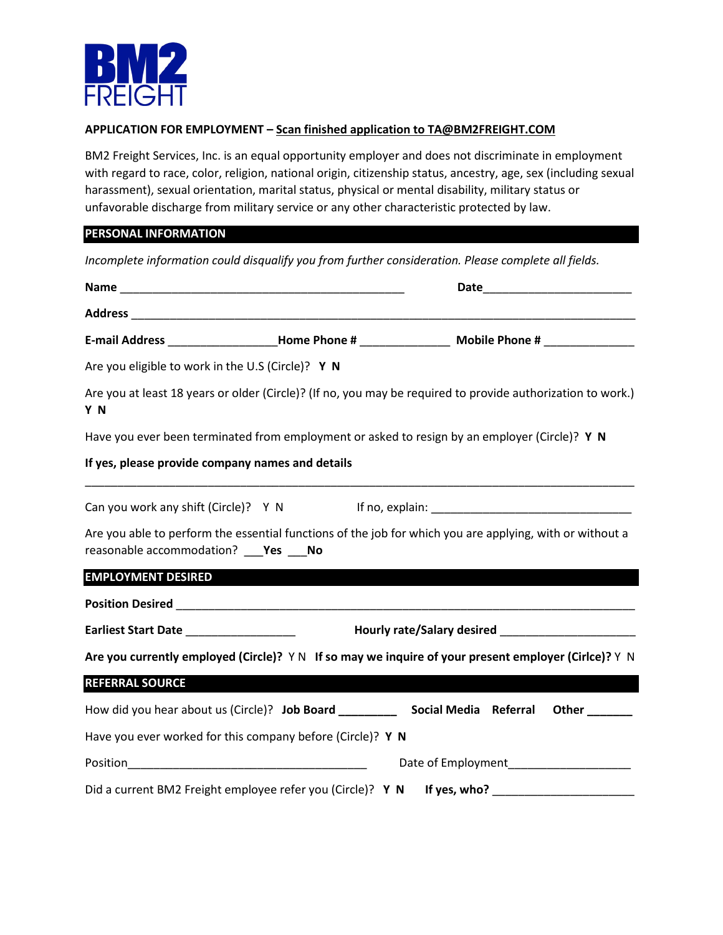

### **APPLICATION FOR EMPLOYMENT – Scan finished application to TA@BM2FREIGHT.COM**

BM2 Freight Services, Inc. is an equal opportunity employer and does not discriminate in employment with regard to race, color, religion, national origin, citizenship status, ancestry, age, sex (including sexual harassment), sexual orientation, marital status, physical or mental disability, military status or unfavorable discharge from military service or any other characteristic protected by law.

### **PERSONAL INFORMATION**

*Incomplete information could disqualify you from further consideration. Please complete all fields.* 

|                                                   | E-mail Address ______________________Home Phone # ______________________________ Mobile Phone # ______________                                                                               |                                          |
|---------------------------------------------------|----------------------------------------------------------------------------------------------------------------------------------------------------------------------------------------------|------------------------------------------|
| Are you eligible to work in the U.S (Circle)? Y N |                                                                                                                                                                                              |                                          |
| Y N                                               | Are you at least 18 years or older (Circle)? (If no, you may be required to provide authorization to work.)                                                                                  |                                          |
|                                                   | Have you ever been terminated from employment or asked to resign by an employer (Circle)? Y N                                                                                                |                                          |
| If yes, please provide company names and details  |                                                                                                                                                                                              |                                          |
| reasonable accommodation? ___ Yes ___ No          | Can you work any shift (Circle)? Y N If no, explain: ___________________________<br>Are you able to perform the essential functions of the job for which you are applying, with or without a |                                          |
| <b>EMPLOYMENT DESIRED</b>                         |                                                                                                                                                                                              |                                          |
|                                                   |                                                                                                                                                                                              |                                          |
| Earliest Start Date ____________________          |                                                                                                                                                                                              |                                          |
|                                                   | Are you currently employed (Circle)? YN If so may we inquire of your present employer (Cirlce)? YN                                                                                           |                                          |
| <b>REFERRAL SOURCE</b>                            |                                                                                                                                                                                              |                                          |
|                                                   | How did you hear about us (Circle)? Job Board _____________ Social Media Referral                                                                                                            | Other _______                            |
|                                                   | Have you ever worked for this company before (Circle)? Y N                                                                                                                                   |                                          |
|                                                   |                                                                                                                                                                                              | Date of Employment______________________ |
|                                                   | Did a current BM2 Freight employee refer you (Circle)? Y N                                                                                                                                   |                                          |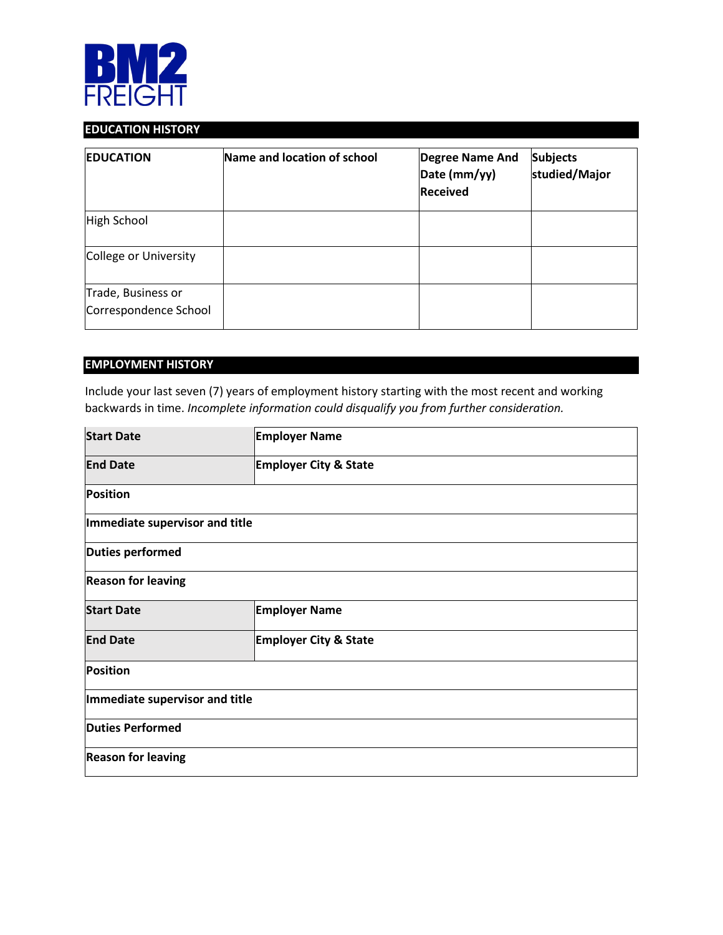

# **EDUCATION HISTORY**

| <b>EDUCATION</b>                            | Name and location of school | <b>Degree Name And</b><br>Date (mm/yy)<br><b>Received</b> | <b>Subjects</b><br>studied/Major |
|---------------------------------------------|-----------------------------|-----------------------------------------------------------|----------------------------------|
| High School                                 |                             |                                                           |                                  |
| College or University                       |                             |                                                           |                                  |
| Trade, Business or<br>Correspondence School |                             |                                                           |                                  |

# **EMPLOYMENT HISTORY**

Include your last seven (7) years of employment history starting with the most recent and working backwards in time. *Incomplete information could disqualify you from further consideration.*

| <b>Start Date</b>              | <b>Employer Name</b>             |  |  |
|--------------------------------|----------------------------------|--|--|
| <b>End Date</b>                | <b>Employer City &amp; State</b> |  |  |
| <b>Position</b>                |                                  |  |  |
| Immediate supervisor and title |                                  |  |  |
| Duties performed               |                                  |  |  |
| <b>Reason for leaving</b>      |                                  |  |  |
| <b>Start Date</b>              | <b>Employer Name</b>             |  |  |
| <b>End Date</b>                | <b>Employer City &amp; State</b> |  |  |
| <b>Position</b>                |                                  |  |  |
| Immediate supervisor and title |                                  |  |  |
| <b>Duties Performed</b>        |                                  |  |  |
| <b>Reason for leaving</b>      |                                  |  |  |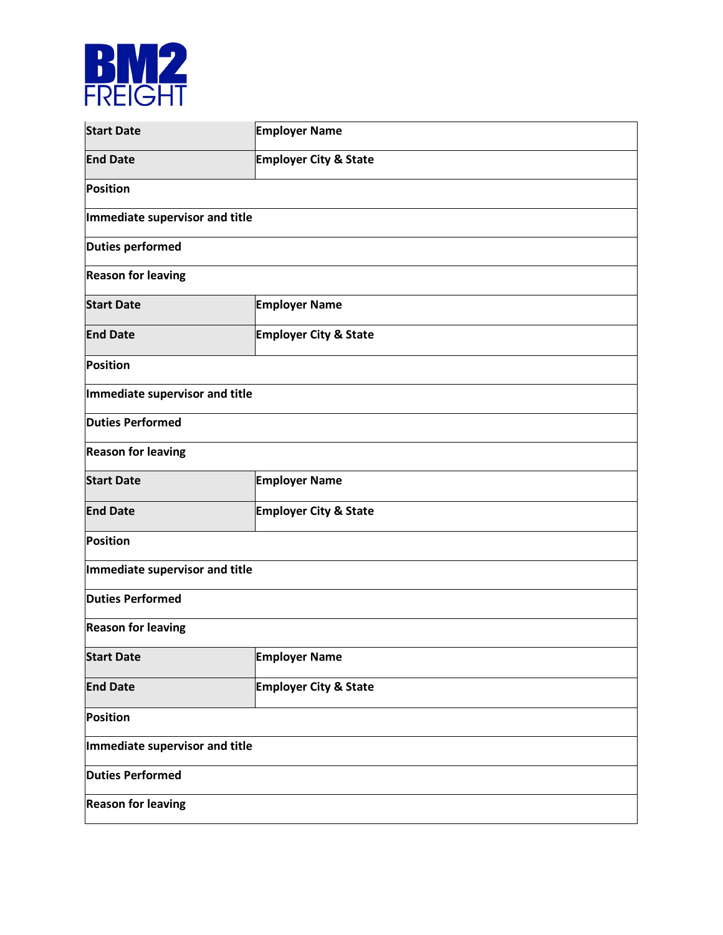

| <b>Start Date</b>              | <b>Employer Name</b>             |  |  |
|--------------------------------|----------------------------------|--|--|
| <b>End Date</b>                | <b>Employer City &amp; State</b> |  |  |
| <b>Position</b>                |                                  |  |  |
| Immediate supervisor and title |                                  |  |  |
| <b>Duties performed</b>        |                                  |  |  |
| <b>Reason for leaving</b>      |                                  |  |  |
| <b>Start Date</b>              | <b>Employer Name</b>             |  |  |
| <b>End Date</b>                | <b>Employer City &amp; State</b> |  |  |
| <b>Position</b>                |                                  |  |  |
| Immediate supervisor and title |                                  |  |  |
| <b>Duties Performed</b>        |                                  |  |  |
| <b>Reason for leaving</b>      |                                  |  |  |
| <b>Start Date</b>              | <b>Employer Name</b>             |  |  |
| <b>End Date</b>                | <b>Employer City &amp; State</b> |  |  |
| Position                       |                                  |  |  |
| Immediate supervisor and title |                                  |  |  |
| <b>Duties Performed</b>        |                                  |  |  |
| <b>Reason for leaving</b>      |                                  |  |  |
| <b>Start Date</b>              | <b>Employer Name</b>             |  |  |
| <b>End Date</b>                | <b>Employer City &amp; State</b> |  |  |
| Position                       |                                  |  |  |
| Immediate supervisor and title |                                  |  |  |
| <b>Duties Performed</b>        |                                  |  |  |
| <b>Reason for leaving</b>      |                                  |  |  |